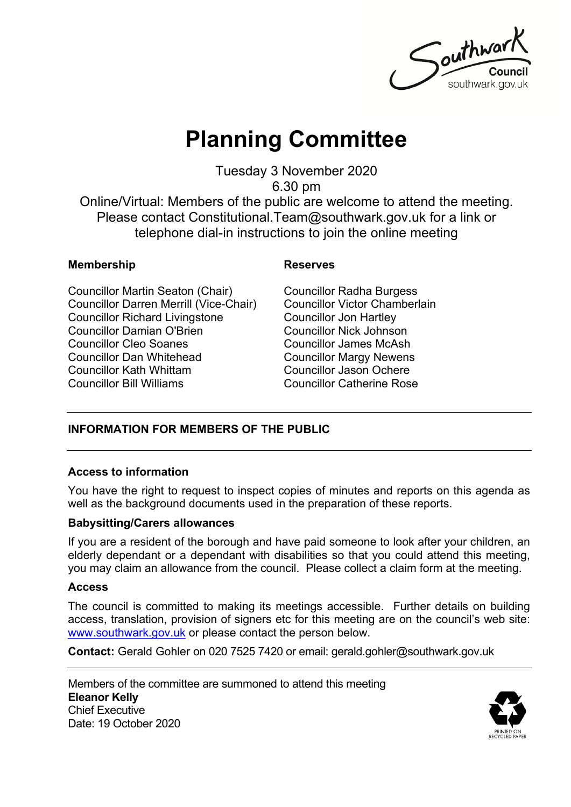Southwar southwark.gov.uk

# **Planning Committee**

Tuesday 3 November 2020

6.30 pm

Online/Virtual: Members of the public are welcome to attend the meeting. Please contact Constitutional.Team@southwark.gov.uk for a link or telephone dial-in instructions to join the online meeting

#### **Membership Reserves**

Councillor Martin Seaton (Chair) Councillor Darren Merrill (Vice-Chair) Councillor Richard Livingstone Councillor Damian O'Brien Councillor Cleo Soanes Councillor Dan Whitehead Councillor Kath Whittam Councillor Bill Williams

Councillor Radha Burgess Councillor Victor Chamberlain Councillor Jon Hartley Councillor Nick Johnson Councillor James McAsh Councillor Margy Newens Councillor Jason Ochere Councillor Catherine Rose

### **INFORMATION FOR MEMBERS OF THE PUBLIC**

#### **Access to information**

You have the right to request to inspect copies of minutes and reports on this agenda as well as the background documents used in the preparation of these reports.

#### **Babysitting/Carers allowances**

If you are a resident of the borough and have paid someone to look after your children, an elderly dependant or a dependant with disabilities so that you could attend this meeting, you may claim an allowance from the council. Please collect a claim form at the meeting.

#### **Access**

The council is committed to making its meetings accessible. Further details on building access, translation, provision of signers etc for this meeting are on the council's web site: [www.southwark.gov.uk](http://www.southwark.gov.uk/Public/Home.aspx) or please contact the person below.

**Contact:** Gerald Gohler on 020 7525 7420 or email: gerald.gohler@southwark.gov.uk

Members of the committee are summoned to attend this meeting **Eleanor Kelly** Chief Executive Date: 19 October 2020

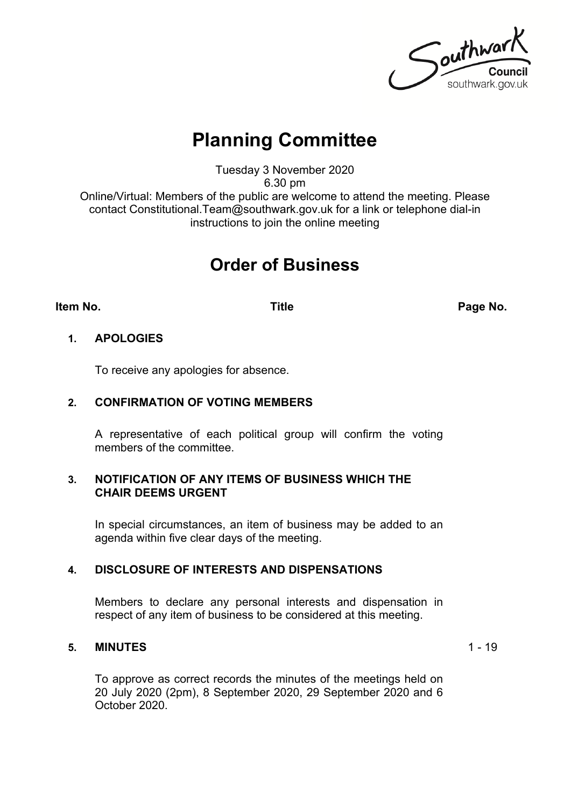Southwark southwark.gov.uk

## **Planning Committee**

Tuesday 3 November 2020 6.30 pm

Online/Virtual: Members of the public are welcome to attend the meeting. Please contact Constitutional.Team@southwark.gov.uk for a link or telephone dial-in instructions to join the online meeting

## **Order of Business**

**Item No. Title Page No.**

#### **1. APOLOGIES**

To receive any apologies for absence.

#### **2. CONFIRMATION OF VOTING MEMBERS**

A representative of each political group will confirm the voting members of the committee.

#### **3. NOTIFICATION OF ANY ITEMS OF BUSINESS WHICH THE CHAIR DEEMS URGENT**

In special circumstances, an item of business may be added to an agenda within five clear days of the meeting.

#### **4. DISCLOSURE OF INTERESTS AND DISPENSATIONS**

Members to declare any personal interests and dispensation in respect of any item of business to be considered at this meeting.

#### **5. MINUTES** 1 - 19

To approve as correct records the minutes of the meetings held on 20 July 2020 (2pm), 8 September 2020, 29 September 2020 and 6 October 2020.